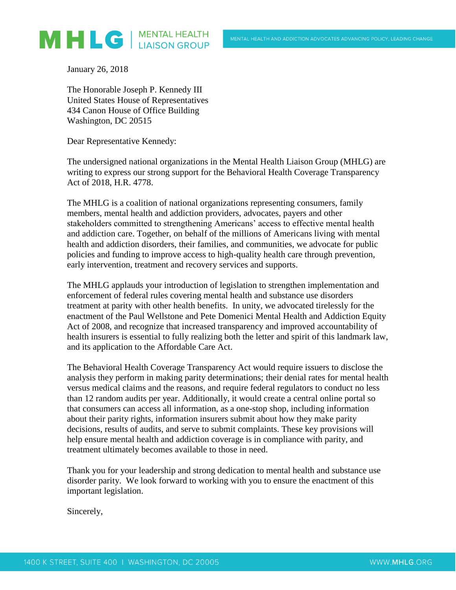

January 26, 2018

The Honorable Joseph P. Kennedy III United States House of Representatives 434 Canon House of Office Building Washington, DC 20515

Dear Representative Kennedy:

The undersigned national organizations in the Mental Health Liaison Group (MHLG) are writing to express our strong support for the Behavioral Health Coverage Transparency Act of 2018, H.R. 4778.

The MHLG is a coalition of national organizations representing consumers, family members, mental health and addiction providers, advocates, payers and other stakeholders committed to strengthening Americans' access to effective mental health and addiction care. Together, on behalf of the millions of Americans living with mental health and addiction disorders, their families, and communities, we advocate for public policies and funding to improve access to high-quality health care through prevention, early intervention, treatment and recovery services and supports.

The MHLG applauds your introduction of legislation to strengthen implementation and enforcement of federal rules covering mental health and substance use disorders treatment at parity with other health benefits. In unity, we advocated tirelessly for the enactment of the Paul Wellstone and Pete Domenici Mental Health and Addiction Equity Act of 2008, and recognize that increased transparency and improved accountability of health insurers is essential to fully realizing both the letter and spirit of this landmark law, and its application to the Affordable Care Act.

The Behavioral Health Coverage Transparency Act would require issuers to disclose the analysis they perform in making parity determinations; their denial rates for mental health versus medical claims and the reasons, and require federal regulators to conduct no less than 12 random audits per year. Additionally, it would create a central online portal so that consumers can access all information, as a one-stop shop, including information about their parity rights, information insurers submit about how they make parity decisions, results of audits, and serve to submit complaints. These key provisions will help ensure mental health and addiction coverage is in compliance with parity, and treatment ultimately becomes available to those in need.

Thank you for your leadership and strong dedication to mental health and substance use disorder parity. We look forward to working with you to ensure the enactment of this important legislation.

Sincerely,